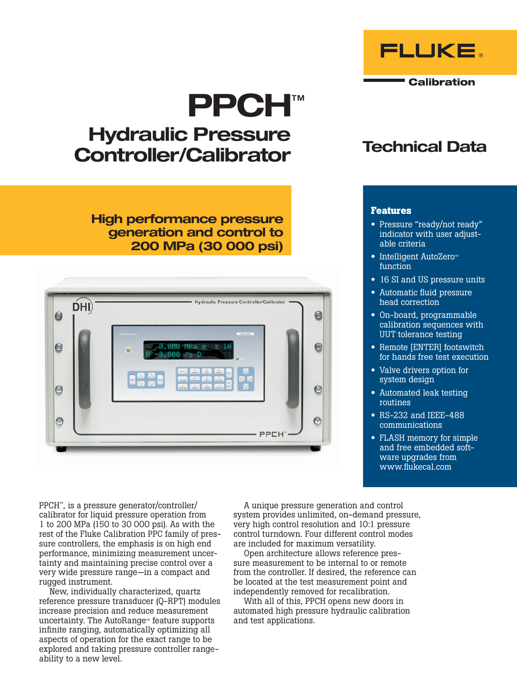# PPCH™

# Hydraulic Pressure Controller/Calibrator

High performance pressure generation and control to 200 MPa (30 000 psi)



# Technical Data

**FLUKE** 

**Calibration** 

## **Features**

- Pressure "ready/not ready" indicator with user adjustable criteria
- Intelligent AutoZero™ function
- 16 SI and US pressure units
- Automatic fluid pressure head correction
- On-board, programmable calibration sequences with UUT tolerance testing
- Remote [ENTER] footswitch for hands free test execution
- Valve drivers option for system design
- Automated leak testing routines
- RS-232 and IEEE-488 communications
- FLASH memory for simple and free embedded software upgrades from www.flukecal.com

PPCH™, is a pressure generator/controller/ calibrator for liquid pressure operation from 1 to 200 MPa (150 to 30 000 psi). As with the rest of the Fluke Calibration PPC family of pressure controllers, the emphasis is on high end performance, minimizing measurement uncertainty and maintaining precise control over a very wide pressure range—in a compact and rugged instrument.

New, individually characterized, quartz reference pressure transducer (Q-RPT) modules increase precision and reduce measurement uncertainty. The AutoRange™ feature supports infinite ranging, automatically optimizing all aspects of operation for the exact range to be explored and taking pressure controller rangeability to a new level.

A unique pressure generation and control system provides unlimited, on-demand pressure, very high control resolution and 10:1 pressure control turndown. Four different control modes are included for maximum versatility.

Open architecture allows reference pressure measurement to be internal to or remote from the controller. If desired, the reference can be located at the test measurement point and independently removed for recalibration.

With all of this, PPCH opens new doors in automated high pressure hydraulic calibration and test applications.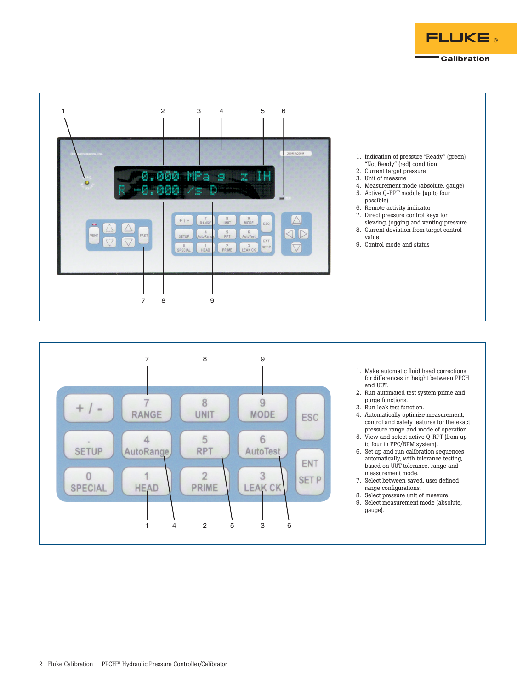





- 1. Make automatic fluid head corrections for differences in height between PPCH and UUT.
- 2. Run automated test system prime and purge functions.
- 3. Run leak test function.
- 4. Automatically optimize measurement, control and safety features for the exact pressure range and mode of operation.
- 5. View and select active Q-RPT (from up to four in PPC/RPM system).
- 6. Set up and run calibration sequences automatically, with tolerance testing, based on UUT tolerance, range and measurement mode.
- 7. Select between saved, user defined range configurations.
- 8. Select pressure unit of measure.
- 9. Select measurement mode (absolute, gauge).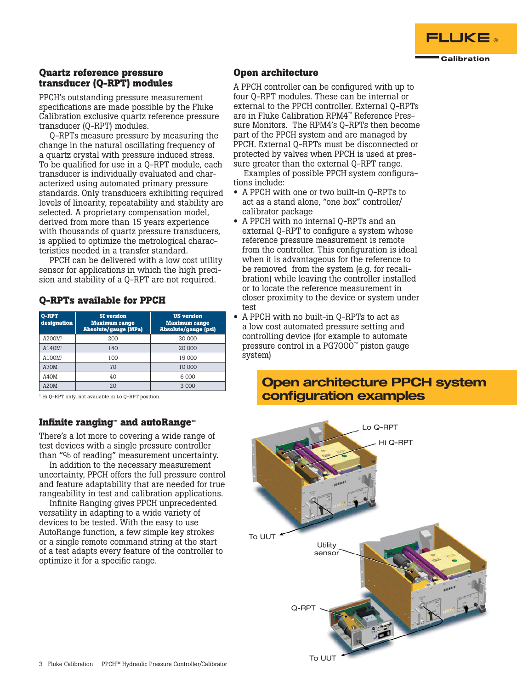

## **Quartz reference pressure transducer (Q-RPT) modules**

PPCH's outstanding pressure measurement specifications are made possible by the Fluke Calibration exclusive quartz reference pressure transducer (Q-RPT) modules.

Q-RPTs measure pressure by measuring the change in the natural oscillating frequency of a quartz crystal with pressure induced stress. To be qualified for use in a Q-RPT module, each transducer is individually evaluated and characterized using automated primary pressure standards. Only transducers exhibiting required levels of linearity, repeatability and stability are selected. A proprietary compensation model, derived from more than 15 years experience with thousands of quartz pressure transducers, is applied to optimize the metrological characteristics needed in a transfer standard.

PPCH can be delivered with a low cost utility sensor for applications in which the high precision and stability of a Q-RPT are not required.

# **Q-RPTs available for PPCH**

| Q-RPT<br>designation | <b>SI</b> version<br><b>Maximum range</b><br><b>Absolute/gauge (MPa)</b> | <b>US</b> version<br><b>Maximum range</b><br><b>Absolute/gauge (psi)</b> |
|----------------------|--------------------------------------------------------------------------|--------------------------------------------------------------------------|
| A200M <sup>1</sup>   | 200                                                                      | 30 000                                                                   |
| A140M <sup>1</sup>   | 140                                                                      | 20 000                                                                   |
| A100M <sup>1</sup>   | 100                                                                      | 15 000                                                                   |
| A70M                 | 70                                                                       | 10 000                                                                   |
| A40M                 | 40                                                                       | 6 000                                                                    |
| A20M                 |                                                                          | 3 000                                                                    |

<sup>1</sup> Hi Q-RPT only, not available in Lo Q-RPT position.

# **Infinite ranging**™ **and autoRange**™

There's a lot more to covering a wide range of test devices with a single pressure controller than "% of reading" measurement uncertainty.

In addition to the necessary measurement uncertainty, PPCH offers the full pressure control and feature adaptability that are needed for true rangeability in test and calibration applications.

Infinite Ranging gives PPCH unprecedented versatility in adapting to a wide variety of devices to be tested. With the easy to use AutoRange function, a few simple key strokes or a single remote command string at the start of a test adapts every feature of the controller to optimize it for a specific range.

### **Open architecture**

A PPCH controller can be configured with up to four Q-RPT modules. These can be internal or external to the PPCH controller. External Q-RPTs are in Fluke Calibration RPM4™ Reference Pressure Monitors. The RPM4's Q-RPTs then become part of the PPCH system and are managed by PPCH. External Q-RPTs must be disconnected or protected by valves when PPCH is used at pressure greater than the external Q-RPT range.

Examples of possible PPCH system configurations include:

- A PPCH with one or two built-in Q-RPTs to act as a stand alone, "one box" controller/ calibrator package
- A PPCH with no internal Q-RPTs and an external Q-RPT to configure a system whose reference pressure measurement is remote from the controller. This configuration is ideal when it is advantageous for the reference to be removed from the system (e.g. for recalibration) while leaving the controller installed or to locate the reference measurement in closer proximity to the device or system under test
- A PPCH with no built-in Q-RPTs to act as a low cost automated pressure setting and controlling device (for example to automate pressure control in a PG7000™ piston gauge system)

# Open architecture PPCH system configuration examples